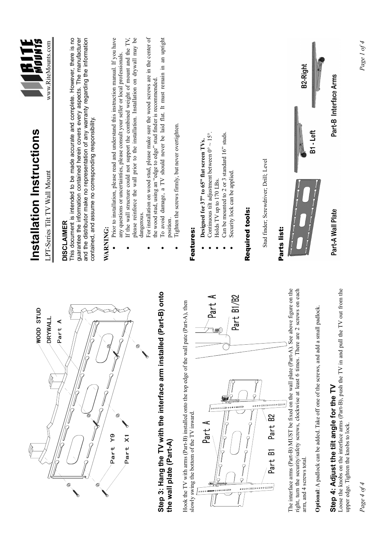

### **Step 4: Adjust the tilt angle for the TV**  Step 4: Adjust the tilt angle for the TV

Loose the knobs on the interface arms (Part-B), push the TV in and pull the TV out from the Loose the knobs on the interface arms (Part-B), push the TV in and pull the TV out from the upper edge. Tighten the knobs to lock. upper edge. Tighten the knobs to lock.

Part-B Interface Arms

Part-A Wall Plate